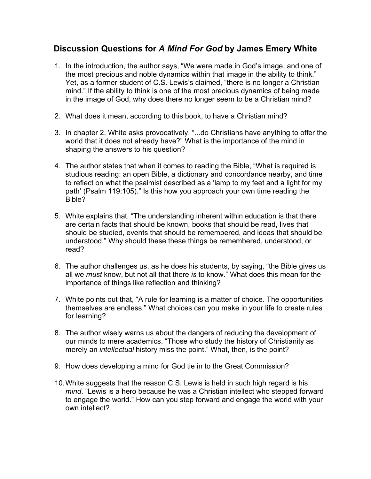## **Discussion Questions for** *A Mind For God* **by James Emery White**

- 1. In the introduction, the author says, "We were made in God's image, and one of the most precious and noble dynamics within that image in the ability to think." Yet, as a former student of C.S. Lewis's claimed, "there is no longer a Christian mind." If the ability to think is one of the most precious dynamics of being made in the image of God, why does there no longer seem to be a Christian mind?
- 2. What does it mean, according to this book, to have a Christian mind?
- 3. In chapter 2, White asks provocatively, "...do Christians have anything to offer the world that it does not already have?" What is the importance of the mind in shaping the answers to his question?
- 4. The author states that when it comes to reading the Bible, "What is required is studious reading: an open Bible, a dictionary and concordance nearby, and time to reflect on what the psalmist described as a 'lamp to my feet and a light for my path' (Psalm 119:105)." Is this how you approach your own time reading the Bible?
- 5. White explains that, "The understanding inherent within education is that there are certain facts that should be known, books that should be read, lives that should be studied, events that should be remembered, and ideas that should be understood." Why should these these things be remembered, understood, or read?
- 6. The author challenges us, as he does his students, by saying, "the Bible gives us all we *must* know, but not all that there *is* to know." What does this mean for the importance of things like reflection and thinking?
- 7. White points out that, "A rule for learning is a matter of choice. The opportunities themselves are endless." What choices can you make in your life to create rules for learning?
- 8. The author wisely warns us about the dangers of reducing the development of our minds to mere academics. "Those who study the history of Christianity as merely an *intellectual* history miss the point." What, then, is the point?
- 9. How does developing a mind for God tie in to the Great Commission?
- 10.White suggests that the reason C.S. Lewis is held in such high regard is his *mind*. "Lewis is a hero because he was a Christian intellect who stepped forward to engage the world." How can you step forward and engage the world with your own intellect?